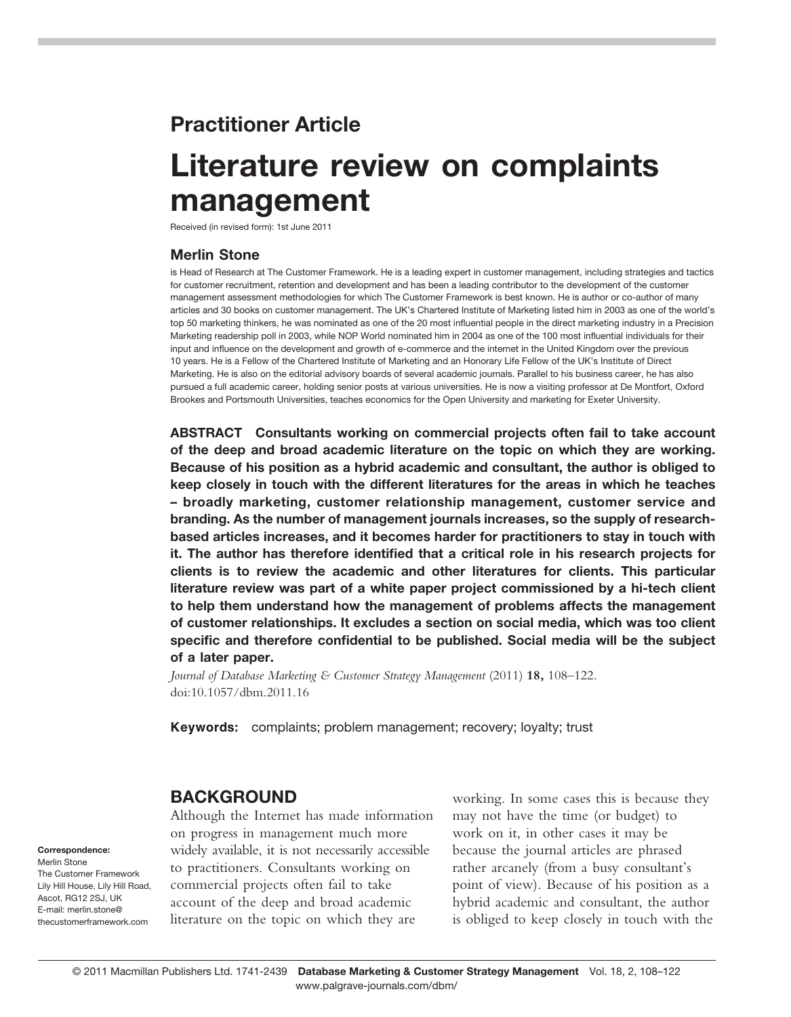## **Practitioner Article**

# **Literature review on complaints management**

Received (in revised form): 1st June 2011

#### **Merlin Stone**

is Head of Research at The Customer Framework. He is a leading expert in customer management, including strategies and tactics for customer recruitment, retention and development and has been a leading contributor to the development of the customer management assessment methodologies for which The Customer Framework is best known. He is author or co-author of many articles and 30 books on customer management. The UK's Chartered Institute of Marketing listed him in 2003 as one of the world's top 50 marketing thinkers, he was nominated as one of the 20 most influential people in the direct marketing industry in a Precision Marketing readership poll in 2003, while NOP World nominated him in 2004 as one of the 100 most influential individuals for their input and influence on the development and growth of e-commerce and the internet in the United Kingdom over the previous 10 years. He is a Fellow of the Chartered Institute of Marketing and an Honorary Life Fellow of the UK's Institute of Direct Marketing. He is also on the editorial advisory boards of several academic journals. Parallel to his business career, he has also pursued a full academic career, holding senior posts at various universities. He is now a visiting professor at De Montfort, Oxford Brookes and Portsmouth Universities, teaches economics for the Open University and marketing for Exeter University.

**ABSTRACT Consultants working on commercial projects often fail to take account of the deep and broad academic literature on the topic on which they are working. Because of his position as a hybrid academic and consultant, the author is obliged to keep closely in touch with the different literatures for the areas in which he teaches –broadly marketing, customer relationship management, customer service and branding. As the number of management journals increases, so the supply of researchbased articles increases, and it becomes harder for practitioners to stay in touch with**  it. The author has therefore identified that a critical role in his research projects for **clients is to review the academic and other literatures for clients. This particular literature review was part of a white paper project commissioned by a hi-tech client to help them understand how the management of problems affects the management of customer relationships. It excludes a section on social media, which was too client**  specific and therefore confidential to be published. Social media will be the subject **of a later paper.** 

*Journal of Database Marketing & Customer Strategy Management* (2011) **18,** 108–122. doi: 10.1057/dbm.2011.16

**Keywords:** complaints; problem management; recovery; loyalty; trust

#### **BACKGROUND**

Although the Internet has made information on progress in management much more widely available, it is not necessarily accessible to practitioners. Consultants working on commercial projects often fail to take account of the deep and broad academic literature on the topic on which they are

working. In some cases this is because they may not have the time (or budget) to work on it, in other cases it may be because the journal articles are phrased rather arcanely (from a busy consultant's point of view). Because of his position as a hybrid academic and consultant, the author is obliged to keep closely in touch with the

#### **Correspondence:**  Merlin Stone

The Customer Framework Lily Hill House, Lily Hill Road, Ascot, RG12 2SJ, UK E-mail: merlin.stone@ thecustomerframework.com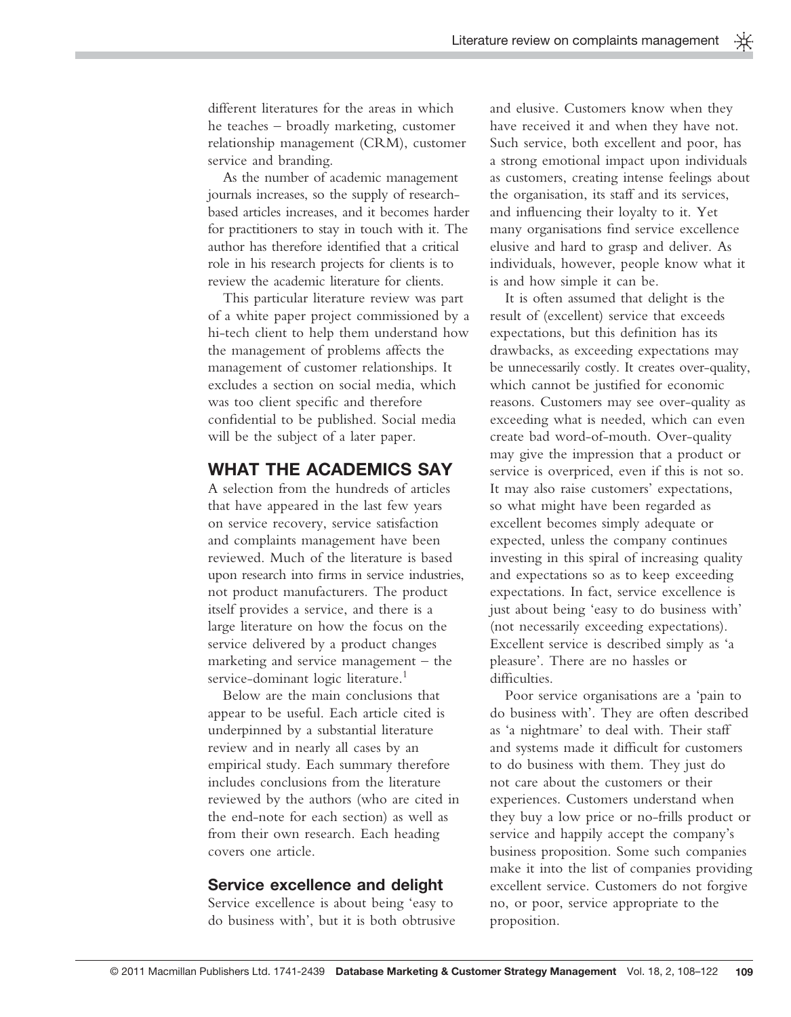different literatures for the areas in which he teaches – broadly marketing, customer relationship management (CRM), customer service and branding.

As the number of academic management journals increases, so the supply of researchbased articles increases, and it becomes harder for practitioners to stay in touch with it. The author has therefore identified that a critical role in his research projects for clients is to review the academic literature for clients.

This particular literature review was part of a white paper project commissioned by a hi-tech client to help them understand how the management of problems affects the management of customer relationships. It excludes a section on social media, which was too client specific and therefore confidential to be published. Social media will be the subject of a later paper.

#### **WHAT THE ACADEMICS SAY**

A selection from the hundreds of articles that have appeared in the last few years on service recovery, service satisfaction and complaints management have been reviewed. Much of the literature is based upon research into firms in service industries, not product manufacturers. The product itself provides a service, and there is a large literature on how the focus on the service delivered by a product changes marketing and service management  $-$  the service-dominant logic literature.<sup>1</sup>

Below are the main conclusions that appear to be useful. Each article cited is underpinned by a substantial literature review and in nearly all cases by an empirical study. Each summary therefore includes conclusions from the literature reviewed by the authors (who are cited in the end-note for each section) as well as from their own research. Each heading covers one article.

#### **Service excellence and delight**

Service excellence is about being 'easy to do business with', but it is both obtrusive and elusive. Customers know when they have received it and when they have not. Such service, both excellent and poor, has a strong emotional impact upon individuals as customers, creating intense feelings about the organisation, its staff and its services, and influencing their loyalty to it. Yet many organisations find service excellence elusive and hard to grasp and deliver. As individuals, however, people know what it is and how simple it can be.

It is often assumed that delight is the result of (excellent) service that exceeds expectations, but this definition has its drawbacks, as exceeding expectations may be unnecessarily costly. It creates over-quality, which cannot be justified for economic reasons. Customers may see over-quality as exceeding what is needed, which can even create bad word-of-mouth. Over-quality may give the impression that a product or service is overpriced, even if this is not so. It may also raise customers' expectations, so what might have been regarded as excellent becomes simply adequate or expected, unless the company continues investing in this spiral of increasing quality and expectations so as to keep exceeding expectations. In fact, service excellence is just about being 'easy to do business with' (not necessarily exceeding expectations). Excellent service is described simply as 'a pleasure'. There are no hassles or difficulties.

Poor service organisations are a 'pain to do business with'. They are often described as 'a nightmare' to deal with. Their staff and systems made it difficult for customers to do business with them. They just do not care about the customers or their experiences. Customers understand when they buy a low price or no-frills product or service and happily accept the company's business proposition. Some such companies make it into the list of companies providing excellent service. Customers do not forgive no, or poor, service appropriate to the proposition.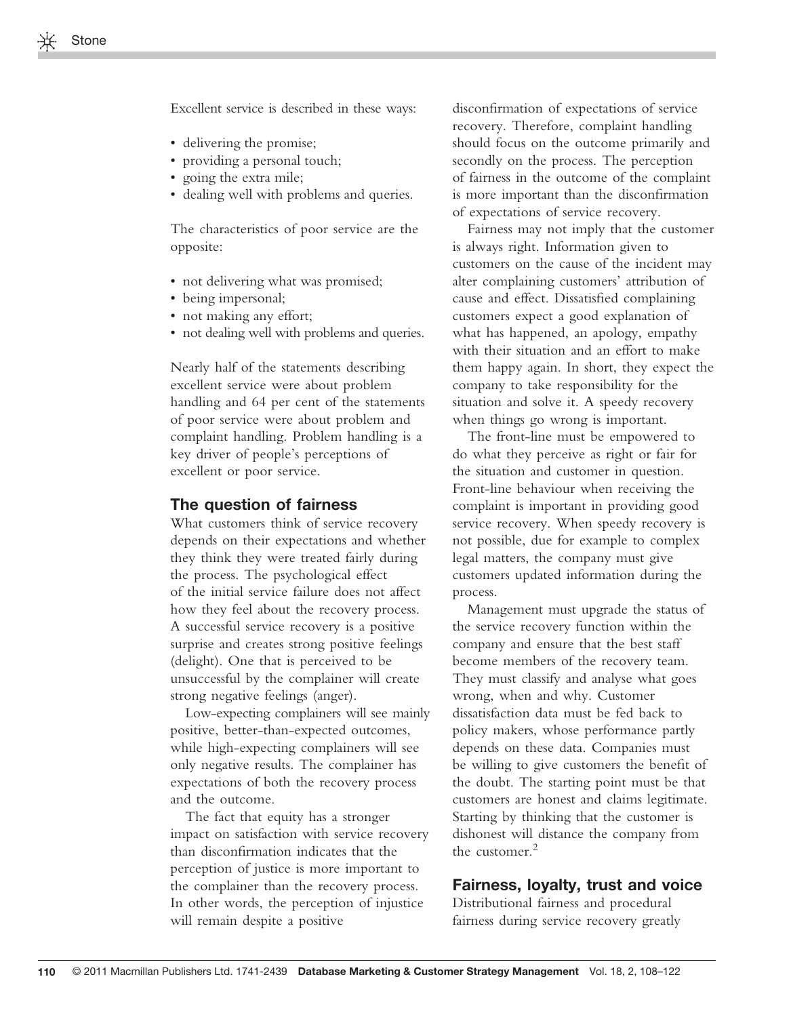Excellent service is described in these ways:

- delivering the promise;
- providing a personal touch; •
- going the extra mile; •
- dealing well with problems and queries. •

The characteristics of poor service are the opposite:

- not delivering what was promised;
- being impersonal;
- not making any effort;
- not dealing well with problems and queries.

Nearly half of the statements describing excellent service were about problem handling and 64 per cent of the statements of poor service were about problem and complaint handling. Problem handling is a key driver of people's perceptions of excellent or poor service.

#### **The question of fairness**

What customers think of service recovery depends on their expectations and whether they think they were treated fairly during the process. The psychological effect of the initial service failure does not affect how they feel about the recovery process. A successful service recovery is a positive surprise and creates strong positive feelings (delight). One that is perceived to be unsuccessful by the complainer will create strong negative feelings (anger).

Low-expecting complainers will see mainly positive, better-than-expected outcomes, while high-expecting complainers will see only negative results. The complainer has expectations of both the recovery process and the outcome.

The fact that equity has a stronger impact on satisfaction with service recovery than disconfirmation indicates that the perception of justice is more important to the complainer than the recovery process. In other words, the perception of injustice will remain despite a positive

disconfirmation of expectations of service recovery. Therefore, complaint handling should focus on the outcome primarily and secondly on the process. The perception of fairness in the outcome of the complaint is more important than the disconfirmation of expectations of service recovery.

Fairness may not imply that the customer is always right. Information given to customers on the cause of the incident may alter complaining customers' attribution of cause and effect. Dissatisfied complaining customers expect a good explanation of what has happened, an apology, empathy with their situation and an effort to make them happy again. In short, they expect the company to take responsibility for the situation and solve it. A speedy recovery when things go wrong is important.

The front-line must be empowered to do what they perceive as right or fair for the situation and customer in question. Front-line behaviour when receiving the complaint is important in providing good service recovery. When speedy recovery is not possible, due for example to complex legal matters, the company must give customers updated information during the process.

Management must upgrade the status of the service recovery function within the company and ensure that the best staff become members of the recovery team. They must classify and analyse what goes wrong, when and why. Customer dissatisfaction data must be fed back to policy makers, whose performance partly depends on these data. Companies must be willing to give customers the benefit of the doubt. The starting point must be that customers are honest and claims legitimate. Starting by thinking that the customer is dishonest will distance the company from the customer.<sup>2</sup>

#### **Fairness, loyalty, trust and voice**

Distributional fairness and procedural fairness during service recovery greatly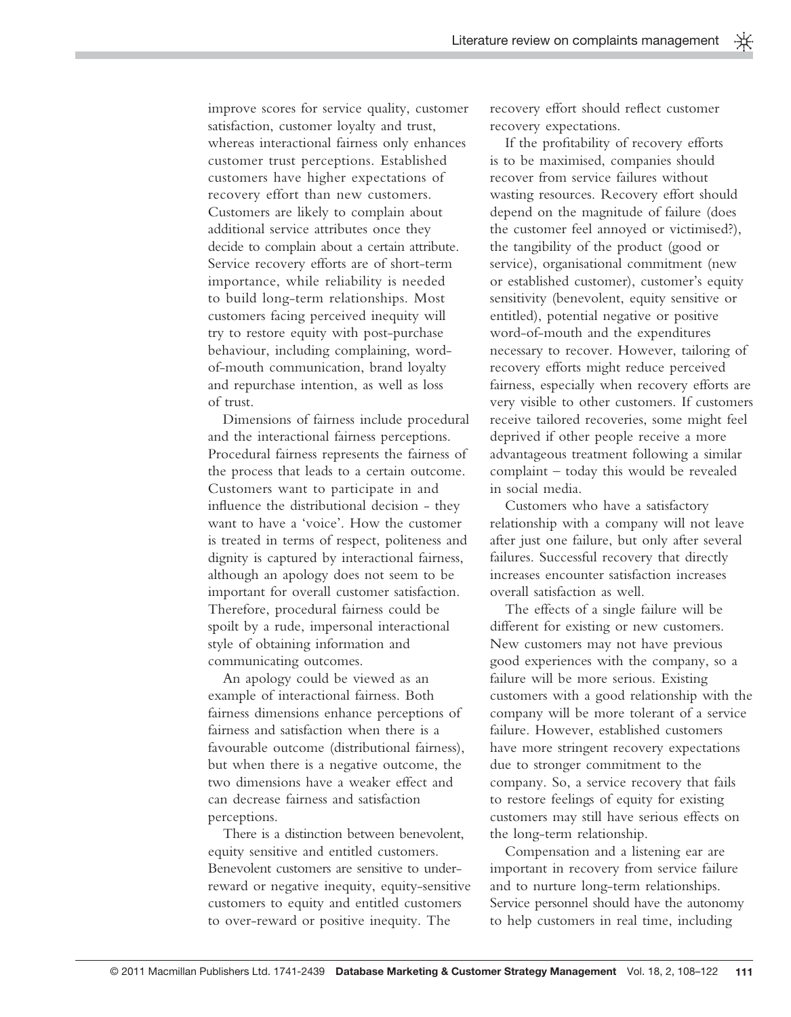improve scores for service quality, customer satisfaction, customer loyalty and trust, whereas interactional fairness only enhances customer trust perceptions. Established customers have higher expectations of recovery effort than new customers. Customers are likely to complain about additional service attributes once they decide to complain about a certain attribute. Service recovery efforts are of short-term importance, while reliability is needed to build long-term relationships. Most customers facing perceived inequity will try to restore equity with post-purchase behaviour, including complaining, wordof-mouth communication, brand loyalty and repurchase intention, as well as loss of trust.

Dimensions of fairness include procedural and the interactional fairness perceptions. Procedural fairness represents the fairness of the process that leads to a certain outcome. Customers want to participate in and influence the distributional decision - they want to have a 'voice'. How the customer is treated in terms of respect, politeness and dignity is captured by interactional fairness, although an apology does not seem to be important for overall customer satisfaction. Therefore, procedural fairness could be spoilt by a rude, impersonal interactional style of obtaining information and communicating outcomes.

An apology could be viewed as an example of interactional fairness. Both fairness dimensions enhance perceptions of fairness and satisfaction when there is a favourable outcome (distributional fairness), but when there is a negative outcome, the two dimensions have a weaker effect and can decrease fairness and satisfaction perceptions.

There is a distinction between benevolent, equity sensitive and entitled customers. Benevolent customers are sensitive to underreward or negative inequity, equity-sensitive customers to equity and entitled customers to over-reward or positive inequity. The

recovery effort should reflect customer recovery expectations.

If the profitability of recovery efforts is to be maximised, companies should recover from service failures without wasting resources. Recovery effort should depend on the magnitude of failure (does the customer feel annoyed or victimised?), the tangibility of the product (good or service), organisational commitment (new or established customer), customer's equity sensitivity (benevolent, equity sensitive or entitled), potential negative or positive word-of-mouth and the expenditures necessary to recover. However, tailoring of recovery efforts might reduce perceived fairness, especially when recovery efforts are very visible to other customers. If customers receive tailored recoveries, some might feel deprived if other people receive a more advantageous treatment following a similar  $complain t - today this would be revealed$ in social media.

Customers who have a satisfactory relationship with a company will not leave after just one failure, but only after several failures. Successful recovery that directly increases encounter satisfaction increases overall satisfaction as well.

The effects of a single failure will be different for existing or new customers. New customers may not have previous good experiences with the company, so a failure will be more serious. Existing customers with a good relationship with the company will be more tolerant of a service failure. However, established customers have more stringent recovery expectations due to stronger commitment to the company. So, a service recovery that fails to restore feelings of equity for existing customers may still have serious effects on the long-term relationship.

Compensation and a listening ear are important in recovery from service failure and to nurture long-term relationships. Service personnel should have the autonomy to help customers in real time, including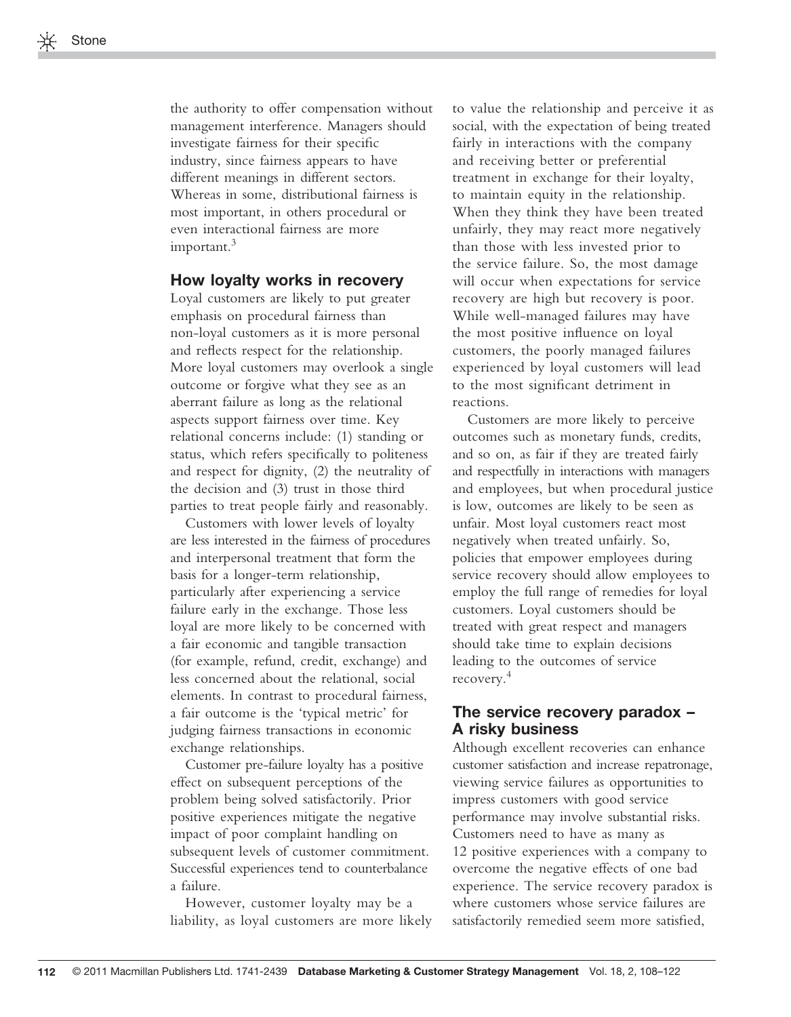the authority to offer compensation without management interference. Managers should investigate fairness for their specific industry, since fairness appears to have different meanings in different sectors. Whereas in some, distributional fairness is most important, in others procedural or even interactional fairness are more important. $3$ 

#### **How loyalty works in recovery**

Loyal customers are likely to put greater emphasis on procedural fairness than non-loyal customers as it is more personal and reflects respect for the relationship. More loyal customers may overlook a single outcome or forgive what they see as an aberrant failure as long as the relational aspects support fairness over time. Key relational concerns include: (1) standing or status, which refers specifically to politeness and respect for dignity, (2) the neutrality of the decision and (3) trust in those third parties to treat people fairly and reasonably.

Customers with lower levels of loyalty are less interested in the fairness of procedures and interpersonal treatment that form the basis for a longer-term relationship, particularly after experiencing a service failure early in the exchange. Those less loyal are more likely to be concerned with a fair economic and tangible transaction (for example, refund, credit, exchange) and less concerned about the relational, social elements. In contrast to procedural fairness, a fair outcome is the 'typical metric' for judging fairness transactions in economic exchange relationships.

Customer pre-failure loyalty has a positive effect on subsequent perceptions of the problem being solved satisfactorily. Prior positive experiences mitigate the negative impact of poor complaint handling on subsequent levels of customer commitment. Successful experiences tend to counterbalance a failure.

However, customer loyalty may be a liability, as loyal customers are more likely to value the relationship and perceive it as social, with the expectation of being treated fairly in interactions with the company and receiving better or preferential treatment in exchange for their loyalty, to maintain equity in the relationship. When they think they have been treated unfairly, they may react more negatively than those with less invested prior to the service failure. So, the most damage will occur when expectations for service recovery are high but recovery is poor. While well-managed failures may have the most positive influence on loyal customers, the poorly managed failures experienced by loyal customers will lead to the most significant detriment in reactions.

Customers are more likely to perceive outcomes such as monetary funds, credits, and so on, as fair if they are treated fairly and respectfully in interactions with managers and employees, but when procedural justice is low, outcomes are likely to be seen as unfair. Most loyal customers react most negatively when treated unfairly. So, policies that empower employees during service recovery should allow employees to employ the full range of remedies for loyal customers. Loyal customers should be treated with great respect and managers should take time to explain decisions leading to the outcomes of service recovery. 4

#### **The service recovery paradox – A risky business**

Although excellent recoveries can enhance customer satisfaction and increase repatronage, viewing service failures as opportunities to impress customers with good service performance may involve substantial risks. Customers need to have as many as 12 positive experiences with a company to overcome the negative effects of one bad experience. The service recovery paradox is where customers whose service failures are satisfactorily remedied seem more satisfied,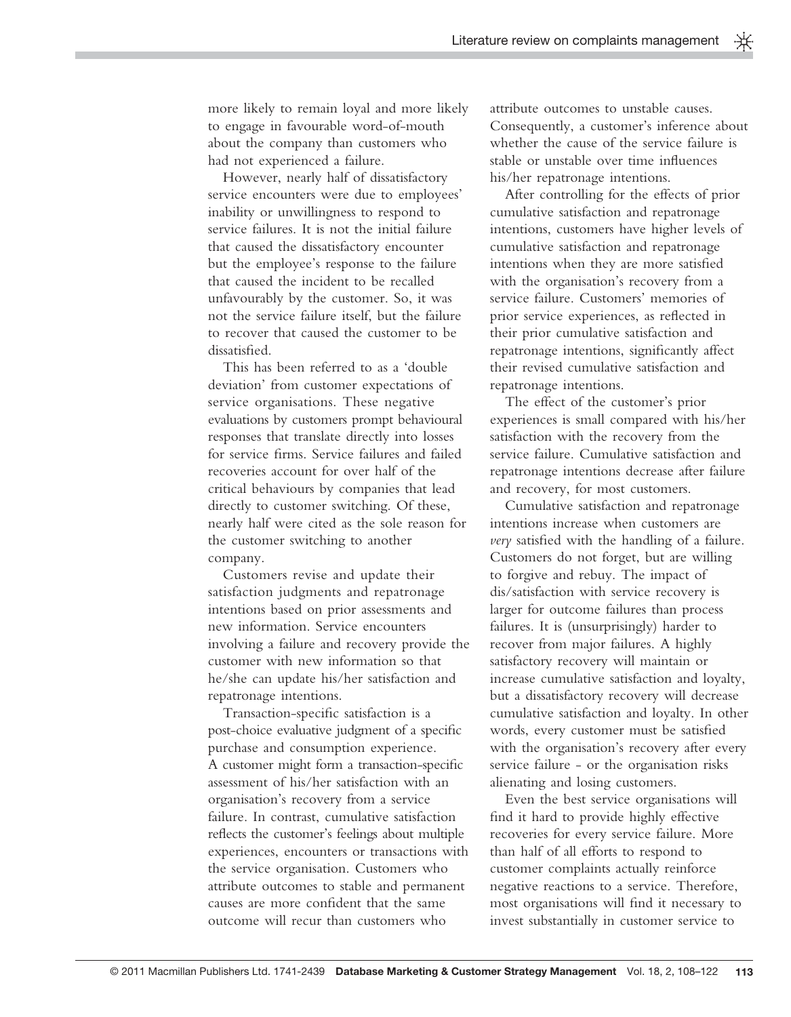more likely to remain loyal and more likely to engage in favourable word-of-mouth about the company than customers who had not experienced a failure.

However, nearly half of dissatisfactory service encounters were due to employees' inability or unwillingness to respond to service failures. It is not the initial failure that caused the dissatisfactory encounter but the employee's response to the failure that caused the incident to be recalled unfavourably by the customer. So, it was not the service failure itself, but the failure to recover that caused the customer to be dissatisfied

This has been referred to as a 'double deviation' from customer expectations of service organisations. These negative evaluations by customers prompt behavioural responses that translate directly into losses for service firms. Service failures and failed recoveries account for over half of the critical behaviours by companies that lead directly to customer switching. Of these, nearly half were cited as the sole reason for the customer switching to another company.

Customers revise and update their satisfaction judgments and repatronage intentions based on prior assessments and new information. Service encounters involving a failure and recovery provide the customer with new information so that he/she can update his/her satisfaction and repatronage intentions.

Transaction-specific satisfaction is a post-choice evaluative judgment of a specific purchase and consumption experience. A customer might form a transaction-specific assessment of his/her satisfaction with an organisation's recovery from a service failure. In contrast, cumulative satisfaction reflects the customer's feelings about multiple experiences, encounters or transactions with the service organisation. Customers who attribute outcomes to stable and permanent causes are more confident that the same outcome will recur than customers who

attribute outcomes to unstable causes. Consequently, a customer's inference about whether the cause of the service failure is stable or unstable over time influences his/her repatronage intentions.

After controlling for the effects of prior cumulative satisfaction and repatronage intentions, customers have higher levels of cumulative satisfaction and repatronage intentions when they are more satisfied with the organisation's recovery from a service failure. Customers' memories of prior service experiences, as reflected in their prior cumulative satisfaction and repatronage intentions, significantly affect their revised cumulative satisfaction and repatronage intentions.

The effect of the customer's prior experiences is small compared with his/her satisfaction with the recovery from the service failure. Cumulative satisfaction and repatronage intentions decrease after failure and recovery, for most customers.

Cumulative satisfaction and repatronage intentions increase when customers are *very* satisfied with the handling of a failure. Customers do not forget, but are willing to forgive and rebuy. The impact of dis/satisfaction with service recovery is larger for outcome failures than process failures. It is (unsurprisingly) harder to recover from major failures. A highly satisfactory recovery will maintain or increase cumulative satisfaction and loyalty, but a dissatisfactory recovery will decrease cumulative satisfaction and loyalty. In other words, every customer must be satisfied with the organisation's recovery after every service failure - or the organisation risks alienating and losing customers.

Even the best service organisations will find it hard to provide highly effective recoveries for every service failure. More than half of all efforts to respond to customer complaints actually reinforce negative reactions to a service. Therefore, most organisations will find it necessary to invest substantially in customer service to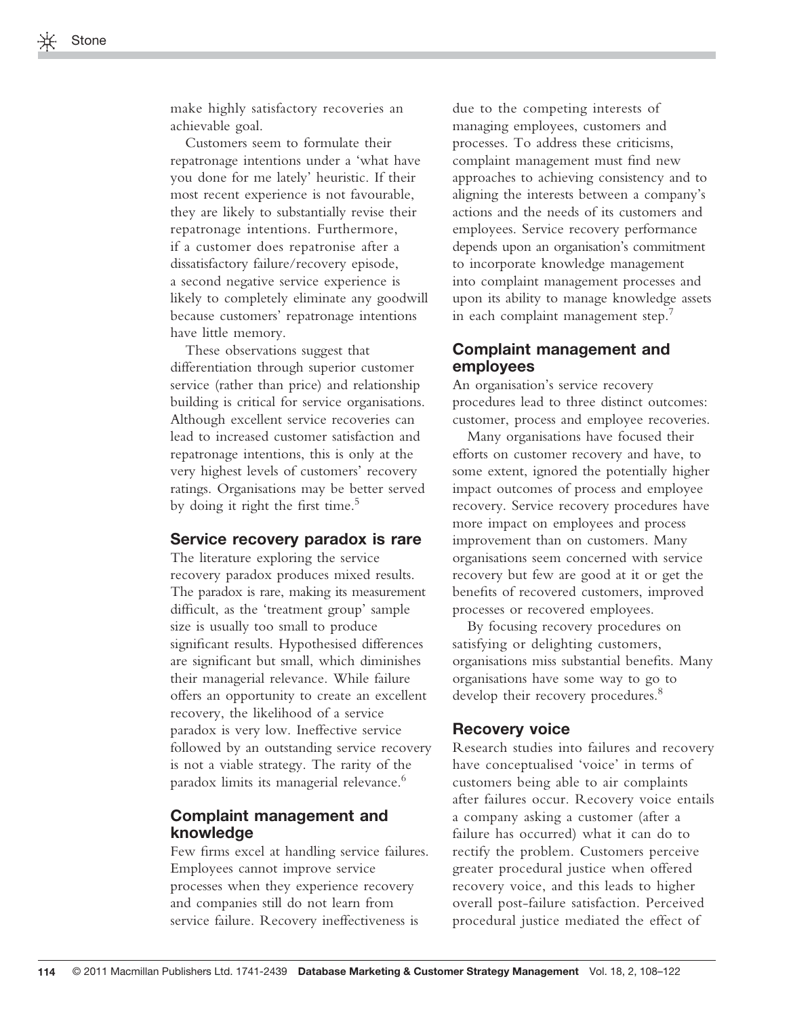make highly satisfactory recoveries an achievable goal.

Customers seem to formulate their repatronage intentions under a 'what have you done for me lately 'heuristic. If their most recent experience is not favourable, they are likely to substantially revise their repatronage intentions. Furthermore, if a customer does repatronise after a dissatisfactory failure/recovery episode, a second negative service experience is likely to completely eliminate any goodwill because customers' repatronage intentions have little memory.

These observations suggest that differentiation through superior customer service (rather than price) and relationship building is critical for service organisations. Although excellent service recoveries can lead to increased customer satisfaction and repatronage intentions, this is only at the very highest levels of customers' recovery ratings. Organisations may be better served by doing it right the first time.<sup>5</sup>

#### **Service recovery paradox is rare**

The literature exploring the service recovery paradox produces mixed results. The paradox is rare, making its measurement difficult, as the 'treatment group' sample size is usually too small to produce significant results. Hypothesised differences are significant but small, which diminishes their managerial relevance. While failure offers an opportunity to create an excellent recovery, the likelihood of a service paradox is very low. Ineffective service followed by an outstanding service recovery is not a viable strategy. The rarity of the paradox limits its managerial relevance. 6

#### **Complaint management and knowledge**

Few firms excel at handling service failures. Employees cannot improve service processes when they experience recovery and companies still do not learn from service failure. Recovery ineffectiveness is

due to the competing interests of managing employees, customers and processes. To address these criticisms, complaint management must find new approaches to achieving consistency and to aligning the interests between a company's actions and the needs of its customers and employees. Service recovery performance depends upon an organisation's commitment to incorporate knowledge management into complaint management processes and upon its ability to manage knowledge assets in each complaint management step.<sup>7</sup>

#### **Complaint management and employees**

An organisation's service recovery procedures lead to three distinct outcomes: customer, process and employee recoveries.

Many organisations have focused their efforts on customer recovery and have, to some extent, ignored the potentially higher impact outcomes of process and employee recovery. Service recovery procedures have more impact on employees and process improvement than on customers. Many organisations seem concerned with service recovery but few are good at it or get the benefits of recovered customers, improved processes or recovered employees.

By focusing recovery procedures on satisfying or delighting customers, organisations miss substantial benefits. Many organisations have some way to go to develop their recovery procedures.<sup>8</sup>

#### **Recovery voice**

Research studies into failures and recovery have conceptualised 'voice' in terms of customers being able to air complaints after failures occur. Recovery voice entails a company asking a customer (after a failure has occurred) what it can do to rectify the problem. Customers perceive greater procedural justice when offered recovery voice, and this leads to higher overall post-failure satisfaction. Perceived procedural justice mediated the effect of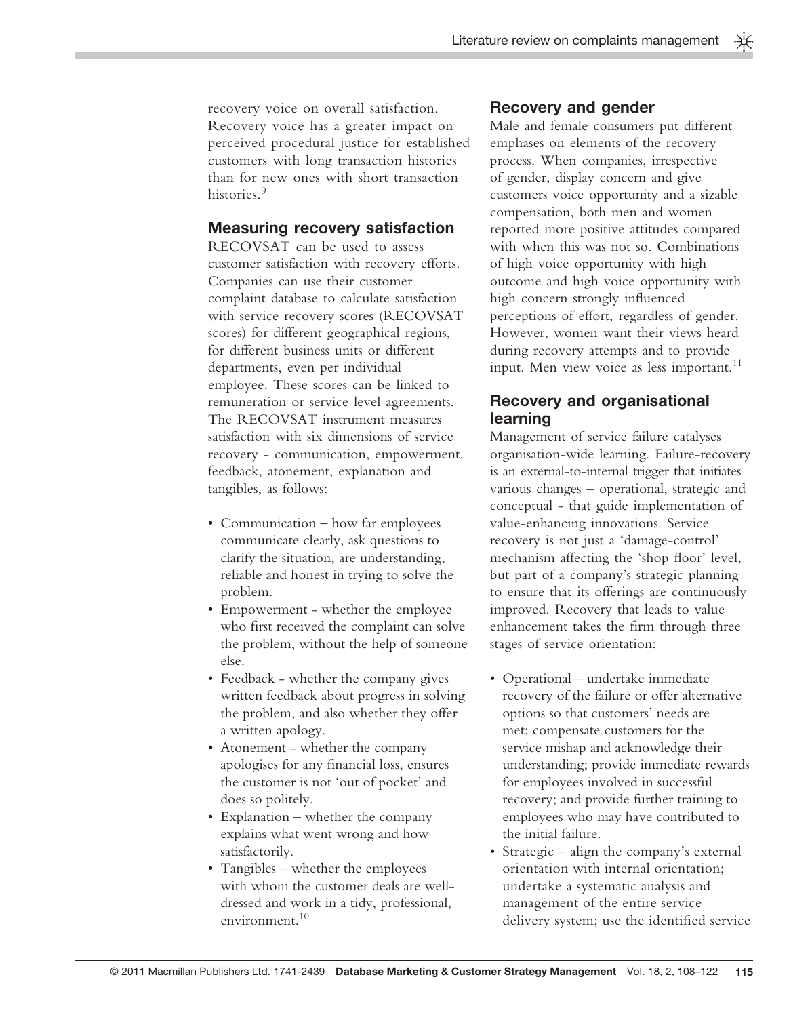recovery voice on overall satisfaction. Recovery voice has a greater impact on perceived procedural justice for established customers with long transaction histories than for new ones with short transaction histories<sup>9</sup>

#### **Measuring recovery satisfaction**

RECOVSAT can be used to assess customer satisfaction with recovery efforts. Companies can use their customer complaint database to calculate satisfaction with service recovery scores (RECOVSAT scores) for different geographical regions, for different business units or different departments, even per individual employee. These scores can be linked to remuneration or service level agreements. The RECOVSAT instrument measures satisfaction with six dimensions of service recovery - communication, empowerment, feedback, atonement, explanation and tangibles, as follows:

- Communication how far employees communicate clearly, ask questions to clarify the situation, are understanding, reliable and honest in trying to solve the problem.
- Empowerment whether the employee who first received the complaint can solve the problem, without the help of someone else.
- Feedback whether the company gives written feedback about progress in solving the problem, and also whether they offer a written apology.
- Atonement whether the company apologises for any financial loss, ensures the customer is not 'out of pocket' and does so politely.
- Explanation whether the company explains what went wrong and how satisfactorily.
- Tangibles whether the employees with whom the customer deals are welldressed and work in a tidy, professional, environment.<sup>10</sup>

#### **Recovery and gender**

Male and female consumers put different emphases on elements of the recovery process. When companies, irrespective of gender, display concern and give customers voice opportunity and a sizable compensation, both men and women reported more positive attitudes compared with when this was not so. Combinations of high voice opportunity with high outcome and high voice opportunity with high concern strongly influenced perceptions of effort, regardless of gender. However, women want their views heard during recovery attempts and to provide input. Men view voice as less important.<sup>11</sup>

#### **Recovery and organisational learning**

Management of service failure catalyses organisation-wide learning. Failure-recovery is an external-to-internal trigger that initiates various changes – operational, strategic and conceptual - that guide implementation of value-enhancing innovations. Service recovery is not just a 'damage-control' mechanism affecting the 'shop floor' level, but part of a company's strategic planning to ensure that its offerings are continuously improved. Recovery that leads to value enhancement takes the firm through three stages of service orientation:

- Operational undertake immediate recovery of the failure or offer alternative options so that customers' needs are met; compensate customers for the service mishap and acknowledge their understanding; provide immediate rewards for employees involved in successful recovery; and provide further training to employees who may have contributed to the initial failure.
- Strategic align the company's external orientation with internal orientation; undertake a systematic analysis and management of the entire service delivery system; use the identified service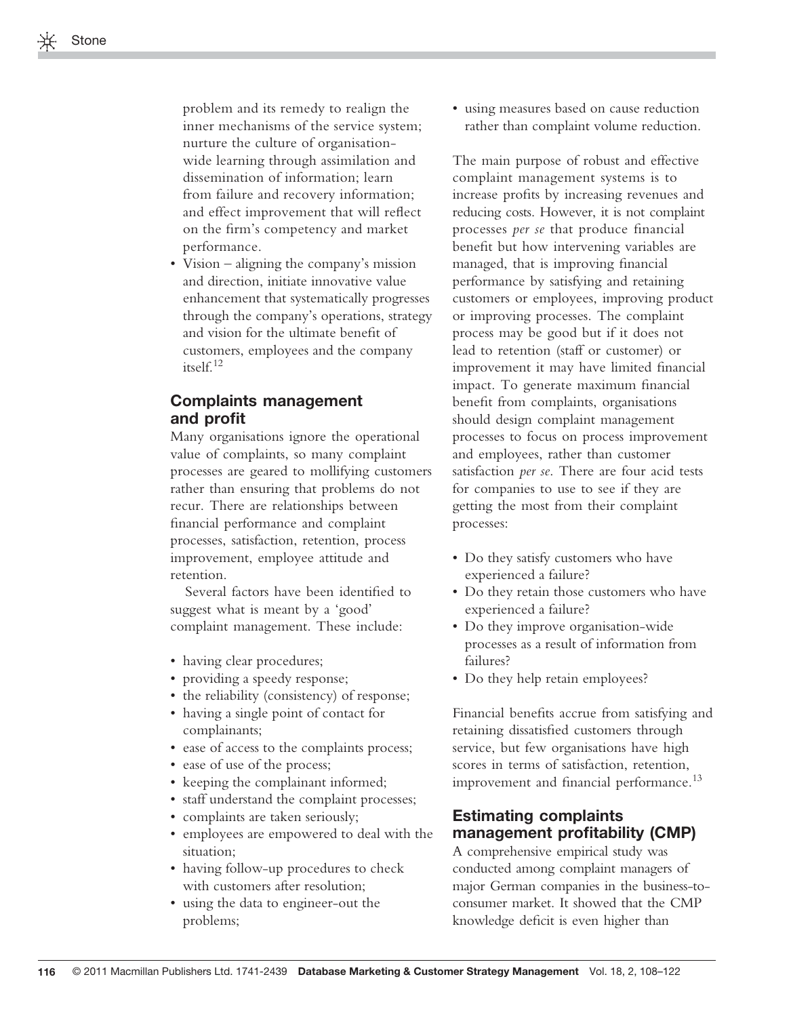problem and its remedy to realign the inner mechanisms of the service system; nurture the culture of organisationwide learning through assimilation and dissemination of information; learn from failure and recovery information; and effect improvement that will reflect on the firm's competency and market performance.

• Vision – aligning the company's mission and direction, initiate innovative value enhancement that systematically progresses through the company's operations, strategy and vision for the ultimate benefit of customers, employees and the company itself.<sup>12</sup>

#### **Complaints management and profit**

Many organisations ignore the operational value of complaints, so many complaint processes are geared to mollifying customers rather than ensuring that problems do not recur. There are relationships between financial performance and complaint processes, satisfaction, retention, process improvement, employee attitude and retention.

Several factors have been identified to suggest what is meant by a 'good' complaint management. These include:

- having clear procedures; •
- providing a speedy response; •
- the reliability (consistency) of response;
- having a single point of contact for complainants;
- ease of access to the complaints process;
- ease of use of the process;
- keeping the complainant informed;
- staff understand the complaint processes;
- complaints are taken seriously; •
- employees are empowered to deal with the situation;
- having follow-up procedures to check with customers after resolution;
- using the data to engineer-out the problems;

using measures based on cause reduction • rather than complaint volume reduction.

The main purpose of robust and effective complaint management systems is to increase profits by increasing revenues and reducing costs. However, it is not complaint processes *per se* that produce financial benefit but how intervening variables are managed, that is improving financial performance by satisfying and retaining customers or employees, improving product or improving processes. The complaint process may be good but if it does not lead to retention (staff or customer) or improvement it may have limited financial impact. To generate maximum financial benefit from complaints, organisations should design complaint management processes to focus on process improvement and employees, rather than customer satisfaction *per se*. There are four acid tests for companies to use to see if they are getting the most from their complaint processes:

- Do they satisfy customers who have experienced a failure?
- Do they retain those customers who have experienced a failure?
- Do they improve organisation-wide processes as a result of information from failures?
- Do they help retain employees?

Financial benefits accrue from satisfying and retaining dissatisfied customers through service, but few organisations have high scores in terms of satisfaction, retention, improvement and financial performance.<sup>13</sup>

### **Estimating complaints**  management profitability (CMP)

A comprehensive empirical study was conducted among complaint managers of major German companies in the business-toconsumer market. It showed that the CMP knowledge deficit is even higher than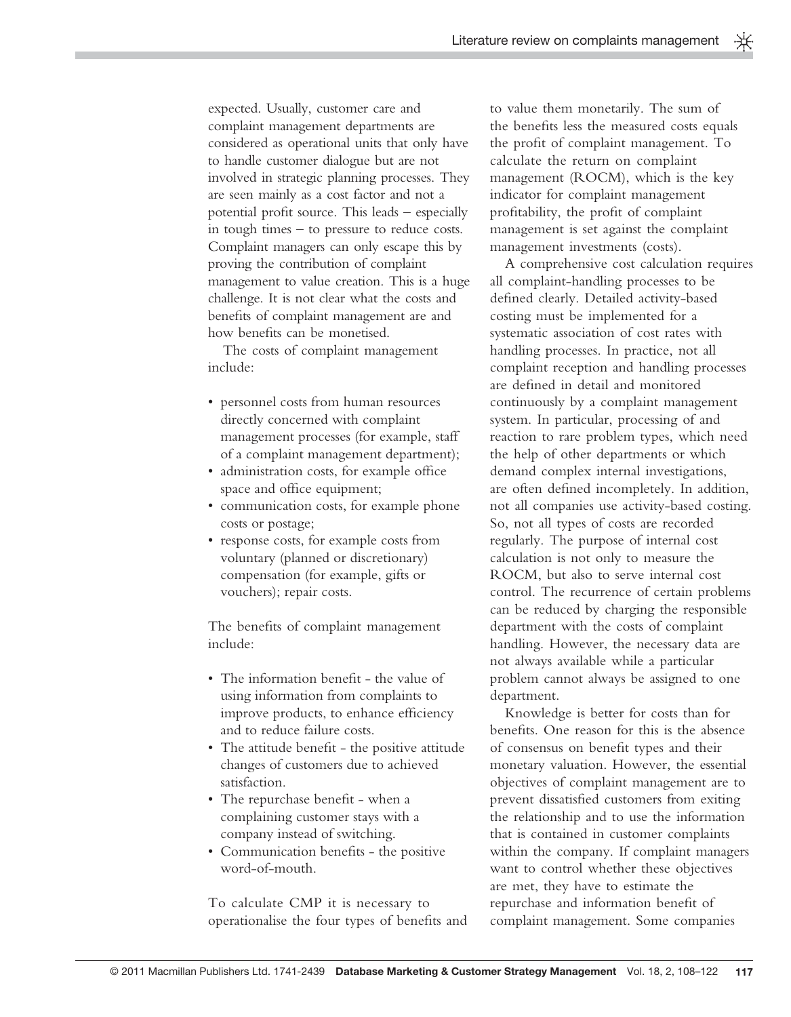expected. Usually, customer care and complaint management departments are considered as operational units that only have to handle customer dialogue but are not involved in strategic planning processes. They are seen mainly as a cost factor and not a potential profit source. This leads  $-$  especially in tough times  $-$  to pressure to reduce costs. Complaint managers can only escape this by proving the contribution of complaint management to value creation. This is a huge challenge. It is not clear what the costs and benefits of complaint management are and how benefits can be monetised.

The costs of complaint management include:

- personnel costs from human resources directly concerned with complaint management processes (for example, staff of a complaint management department);
- administration costs, for example office space and office equipment;
- communication costs, for example phone costs or postage;
- response costs, for example costs from voluntary (planned or discretionary) compensation (for example, gifts or vouchers); repair costs.

The benefits of complaint management include:

- The information benefit the value of using information from complaints to improve products, to enhance efficiency and to reduce failure costs.
- The attitude benefit the positive attitude changes of customers due to achieved satisfaction.
- The repurchase benefit when a complaining customer stays with a company instead of switching.
- Communication benefits the positive word-of-mouth.

To calculate CMP it is necessary to operationalise the four types of benefits and to value them monetarily. The sum of the benefits less the measured costs equals the profit of complaint management. To calculate the return on complaint management (ROCM), which is the key indicator for complaint management profitability, the profit of complaint management is set against the complaint management investments (costs).

A comprehensive cost calculation requires all complaint-handling processes to be defined clearly. Detailed activity-based costing must be implemented for a systematic association of cost rates with handling processes. In practice, not all complaint reception and handling processes are defined in detail and monitored continuously by a complaint management system. In particular, processing of and reaction to rare problem types, which need the help of other departments or which demand complex internal investigations, are often defined incompletely. In addition, not all companies use activity-based costing. So, not all types of costs are recorded regularly. The purpose of internal cost calculation is not only to measure the ROCM, but also to serve internal cost control. The recurrence of certain problems can be reduced by charging the responsible department with the costs of complaint handling. However, the necessary data are not always available while a particular problem cannot always be assigned to one department.

Knowledge is better for costs than for benefits. One reason for this is the absence of consensus on benefit types and their monetary valuation. However, the essential objectives of complaint management are to prevent dissatisfied customers from exiting the relationship and to use the information that is contained in customer complaints within the company. If complaint managers want to control whether these objectives are met, they have to estimate the repurchase and information benefit of complaint management. Some companies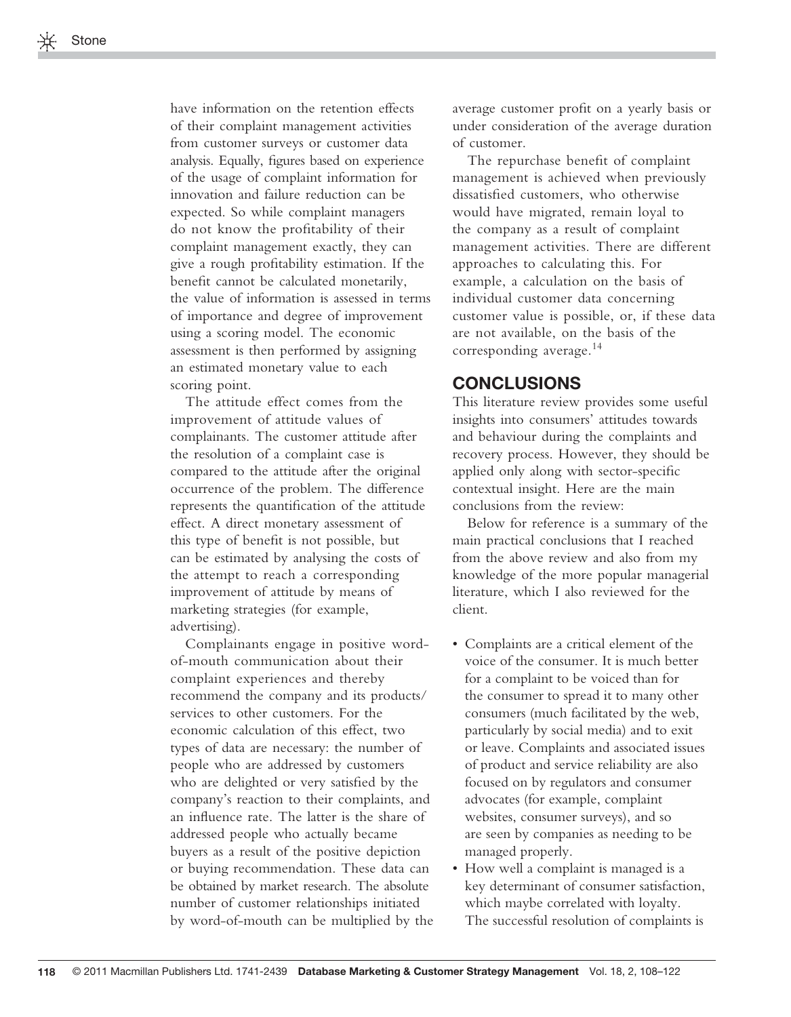have information on the retention effects of their complaint management activities from customer surveys or customer data analysis. Equally, figures based on experience of the usage of complaint information for innovation and failure reduction can be expected. So while complaint managers do not know the profitability of their complaint management exactly, they can give a rough profitability estimation. If the benefit cannot be calculated monetarily. the value of information is assessed in terms of importance and degree of improvement using a scoring model. The economic assessment is then performed by assigning an estimated monetary value to each scoring point.

The attitude effect comes from the improvement of attitude values of complainants. The customer attitude after the resolution of a complaint case is compared to the attitude after the original occurrence of the problem. The difference represents the quantification of the attitude effect. A direct monetary assessment of this type of benefit is not possible, but can be estimated by analysing the costs of the attempt to reach a corresponding improvement of attitude by means of marketing strategies (for example, advertising).

Complainants engage in positive wordof-mouth communication about their complaint experiences and thereby recommend the company and its products / services to other customers. For the economic calculation of this effect, two types of data are necessary: the number of people who are addressed by customers who are delighted or very satisfied by the company's reaction to their complaints, and an influence rate. The latter is the share of addressed people who actually became buyers as a result of the positive depiction or buying recommendation. These data can be obtained by market research. The absolute number of customer relationships initiated by word-of-mouth can be multiplied by the average customer profit on a yearly basis or under consideration of the average duration of customer.

The repurchase benefit of complaint management is achieved when previously dissatisfied customers, who otherwise would have migrated, remain loyal to the company as a result of complaint management activities. There are different approaches to calculating this. For example, a calculation on the basis of individual customer data concerning customer value is possible, or, if these data are not available, on the basis of the corresponding average. 14

#### **CONCLUSIONS**

This literature review provides some useful insights into consumers' attitudes towards and behaviour during the complaints and recovery process. However, they should be applied only along with sector-specific contextual insight. Here are the main conclusions from the review:

Below for reference is a summary of the main practical conclusions that I reached from the above review and also from my knowledge of the more popular managerial literature, which I also reviewed for the client.

- Complaints are a critical element of the voice of the consumer. It is much better for a complaint to be voiced than for the consumer to spread it to many other consumers (much facilitated by the web, particularly by social media) and to exit or leave. Complaints and associated issues of product and service reliability are also focused on by regulators and consumer advocates (for example, complaint websites, consumer surveys), and so are seen by companies as needing to be managed properly.
- How well a complaint is managed is a key determinant of consumer satisfaction, which maybe correlated with loyalty. The successful resolution of complaints is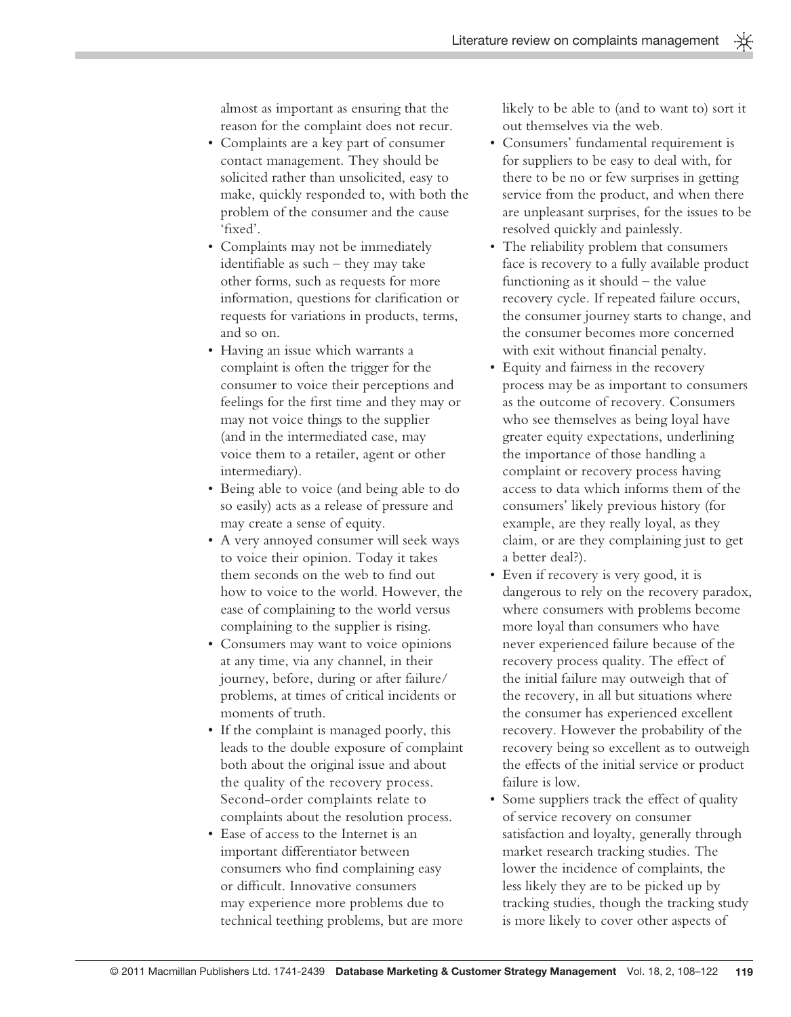Literature review on complaints management

almost as important as ensuring that the reason for the complaint does not recur.

- Complaints are a key part of consumer contact management. They should be solicited rather than unsolicited, easy to make, quickly responded to, with both the problem of the consumer and the cause 'fixed'.
- Complaints may not be immediately identifiable as such  $-$  they may take other forms, such as requests for more information, questions for clarification or requests for variations in products, terms, and so on.
- Having an issue which warrants a complaint is often the trigger for the consumer to voice their perceptions and feelings for the first time and they may or may not voice things to the supplier (and in the intermediated case, may voice them to a retailer, agent or other intermediary).
- Being able to voice (and being able to do so easily) acts as a release of pressure and may create a sense of equity. •
- A very annoyed consumer will seek ways to voice their opinion. Today it takes them seconds on the web to find out how to voice to the world. However, the ease of complaining to the world versus complaining to the supplier is rising.
- Consumers may want to voice opinions at any time, via any channel, in their journey, before, during or after failure/ problems, at times of critical incidents or moments of truth.
- If the complaint is managed poorly, this leads to the double exposure of complaint both about the original issue and about the quality of the recovery process. Second-order complaints relate to complaints about the resolution process.
- Ease of access to the Internet is an important differentiator between consumers who find complaining easy or difficult. Innovative consumers may experience more problems due to technical teething problems, but are more

likely to be able to (and to want to) sort it out themselves via the web.

- Consumers' fundamental requirement is for suppliers to be easy to deal with, for there to be no or few surprises in getting service from the product, and when there are unpleasant surprises, for the issues to be resolved quickly and painlessly.
- The reliability problem that consumers face is recovery to a fully available product functioning as it should  $-$  the value recovery cycle. If repeated failure occurs, the consumer journey starts to change, and the consumer becomes more concerned with exit without financial penalty.
- Equity and fairness in the recovery process may be as important to consumers as the outcome of recovery. Consumers who see themselves as being loyal have greater equity expectations, underlining the importance of those handling a complaint or recovery process having access to data which informs them of the consumers' likely previous history (for example, are they really loyal, as they claim, or are they complaining just to get a better deal?).
- Even if recovery is very good, it is dangerous to rely on the recovery paradox, where consumers with problems become more loyal than consumers who have never experienced failure because of the recovery process quality. The effect of the initial failure may outweigh that of the recovery, in all but situations where the consumer has experienced excellent recovery. However the probability of the recovery being so excellent as to outweigh the effects of the initial service or product failure is low.
- Some suppliers track the effect of quality of service recovery on consumer satisfaction and loyalty, generally through market research tracking studies. The lower the incidence of complaints, the less likely they are to be picked up by tracking studies, though the tracking study is more likely to cover other aspects of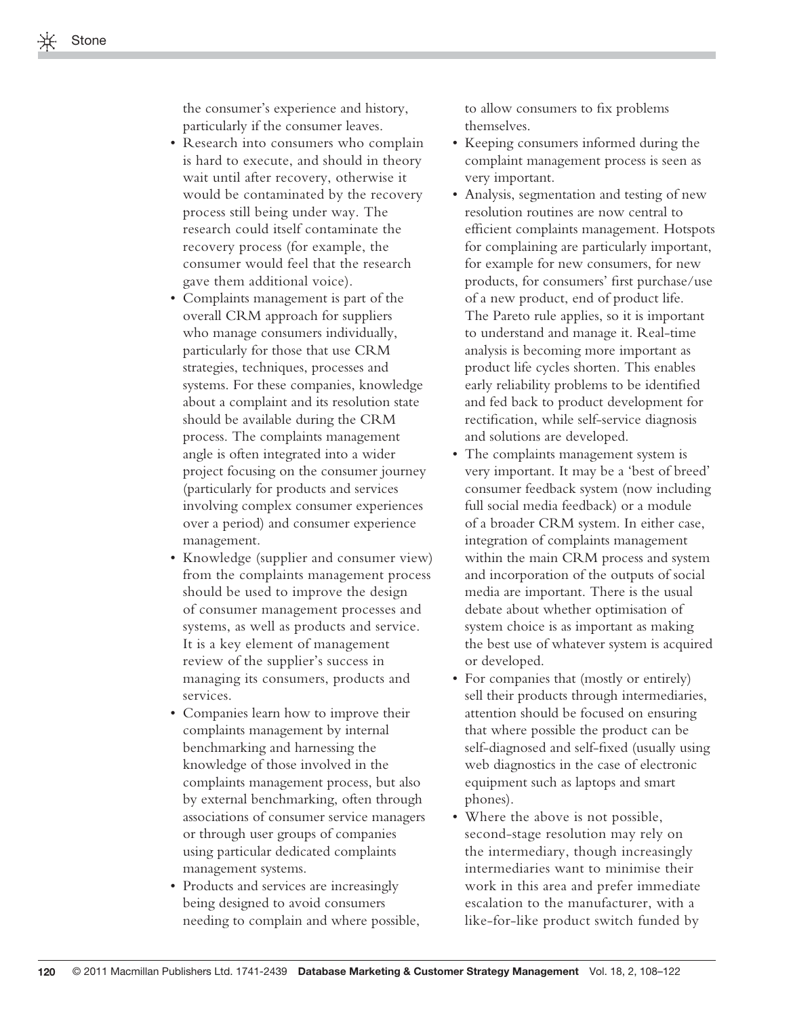the consumer's experience and history. particularly if the consumer leaves.

- Research into consumers who complain is hard to execute, and should in theory wait until after recovery, otherwise it would be contaminated by the recovery process still being under way. The research could itself contaminate the recovery process (for example, the consumer would feel that the research gave them additional voice).
- Complaints management is part of the overall CRM approach for suppliers who manage consumers individually, particularly for those that use CRM strategies, techniques, processes and systems. For these companies, knowledge about a complaint and its resolution state should be available during the CRM process. The complaints management angle is often integrated into a wider project focusing on the consumer journey (particularly for products and services involving complex consumer experiences over a period) and consumer experience management.
- Knowledge (supplier and consumer view) from the complaints management process should be used to improve the design of consumer management processes and systems, as well as products and service. It is a key element of management review of the supplier's success in managing its consumers, products and services.
- Companies learn how to improve their complaints management by internal benchmarking and harnessing the knowledge of those involved in the complaints management process, but also by external benchmarking, often through associations of consumer service managers or through user groups of companies using particular dedicated complaints management systems.
- Products and services are increasingly being designed to avoid consumers needing to complain and where possible,

to allow consumers to fix problems themselves.

- Keeping consumers informed during the complaint management process is seen as very important.
- Analysis, segmentation and testing of new resolution routines are now central to efficient complaints management. Hotspots for complaining are particularly important, for example for new consumers, for new products, for consumers' first purchase/use of a new product, end of product life. The Pareto rule applies, so it is important to understand and manage it. Real-time analysis is becoming more important as product life cycles shorten. This enables early reliability problems to be identified and fed back to product development for rectification, while self-service diagnosis and solutions are developed.
- The complaints management system is very important. It may be a 'best of breed' consumer feedback system (now including full social media feedback) or a module of a broader CRM system. In either case, integration of complaints management within the main CRM process and system and incorporation of the outputs of social media are important. There is the usual debate about whether optimisation of system choice is as important as making the best use of whatever system is acquired or developed.
- For companies that (mostly or entirely) sell their products through intermediaries, attention should be focused on ensuring that where possible the product can be self-diagnosed and self-fixed (usually using web diagnostics in the case of electronic equipment such as laptops and smart phones).
- Where the above is not possible, second-stage resolution may rely on the intermediary, though increasingly intermediaries want to minimise their work in this area and prefer immediate escalation to the manufacturer, with a like-for-like product switch funded by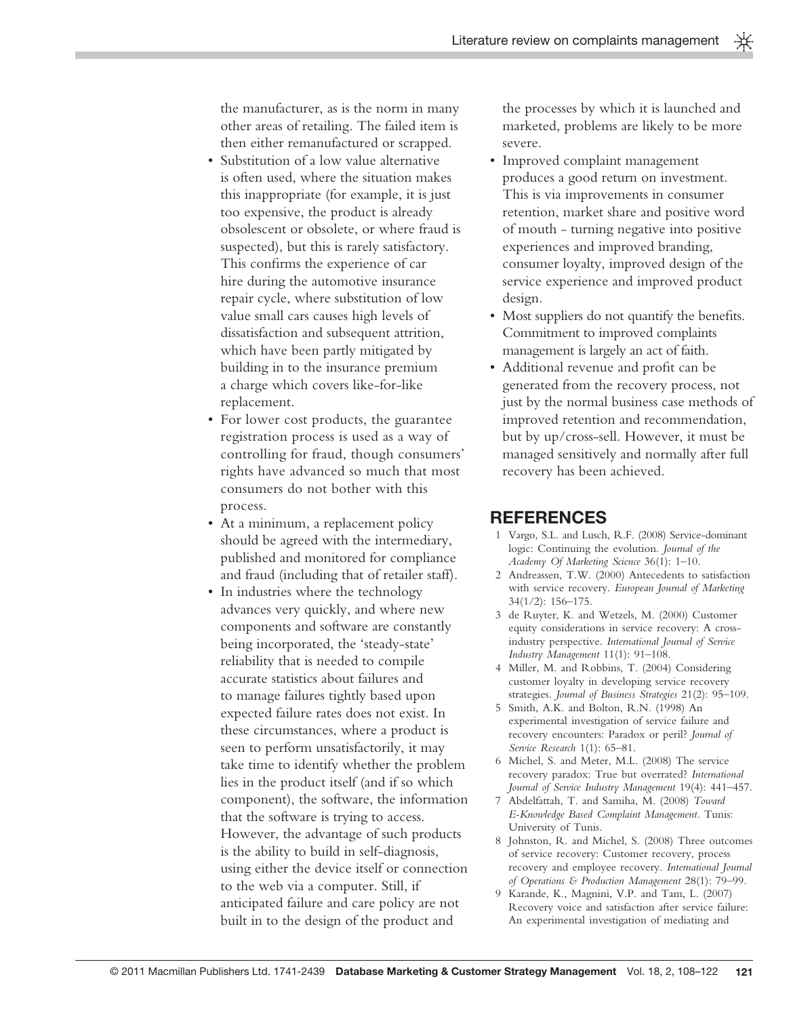the manufacturer, as is the norm in many other areas of retailing. The failed item is then either remanufactured or scrapped.

- Substitution of a low value alternative is often used, where the situation makes this inappropriate (for example, it is just too expensive, the product is already obsolescent or obsolete, or where fraud is suspected), but this is rarely satisfactory. This confirms the experience of car hire during the automotive insurance repair cycle, where substitution of low value small cars causes high levels of dissatisfaction and subsequent attrition, which have been partly mitigated by building in to the insurance premium a charge which covers like-for-like replacement.
- For lower cost products, the guarantee registration process is used as a way of controlling for fraud, though consumers ' rights have advanced so much that most consumers do not bother with this process.
- At a minimum, a replacement policy should be agreed with the intermediary, published and monitored for compliance and fraud (including that of retailer staff).
- In industries where the technology advances very quickly, and where new components and software are constantly being incorporated, the 'steady-state' reliability that is needed to compile accurate statistics about failures and to manage failures tightly based upon expected failure rates does not exist. In these circumstances, where a product is seen to perform unsatisfactorily, it may take time to identify whether the problem lies in the product itself (and if so which component), the software, the information that the software is trying to access. However, the advantage of such products is the ability to build in self-diagnosis, using either the device itself or connection to the web via a computer. Still, if anticipated failure and care policy are not built in to the design of the product and •

the processes by which it is launched and marketed, problems are likely to be more severe.

- Improved complaint management produces a good return on investment. This is via improvements in consumer retention, market share and positive word of mouth - turning negative into positive experiences and improved branding, consumer loyalty, improved design of the service experience and improved product design.
- Most suppliers do not quantify the benefits. Commitment to improved complaints management is largely an act of faith.
- Additional revenue and profit can be generated from the recovery process, not just by the normal business case methods of improved retention and recommendation, but by up / cross-sell. However, it must be managed sensitively and normally after full recovery has been achieved.

#### **REFERENCES**

- 1 Vargo, S.L. and Lusch, R.F. (2008) Service-dominant logic: Continuing the evolution. *Journal of the* Academy Of Marketing Science 36(1): 1-10.
- 2 Andreassen, T.W. (2000) Antecedents to satisfaction with service recovery. *European Journal of Marketing*  $34(1/2)$ : 156-175.
- 3 de Ruyter, K. and Wetzels, M. (2000) Customer equity considerations in service recovery: A crossindustry perspective . *International Journal of Service Industry Management* 11(1): 91-108.
- 4 Miller, M. and Robbins, T. (2004) Considering customer loyalty in developing service recovery strategies. *Journal of Business Strategies* 21(2): 95-109.
- 5 Smith, A.K. and Bolton, R.N. (1998) An experimental investigation of service failure and recovery encounters: Paradox or peril? *Journal of Service Research* 1(1): 65-81.
- 6 Michel, S. and Meter, M.L. (2008) The service recovery paradox: True but overrated? *International*  Journal of Service Industry Management 19(4): 441-457.
- 7 Abdelfattah, T. and Samiha, M. (2008) Toward *E-Knowledge Based Complaint Management* . Tunis: University of Tunis.
- 8 Johnston, R. and Michel, S. (2008) Three outcomes of service recovery: Customer recovery, process recovery and employee recovery . *International Journal*  of Operations & Production Management 28(1): 79-99.
- 9 Karande, K., Magnini, V.P. and Tam, L. (2007) Recovery voice and satisfaction after service failure: An experimental investigation of mediating and